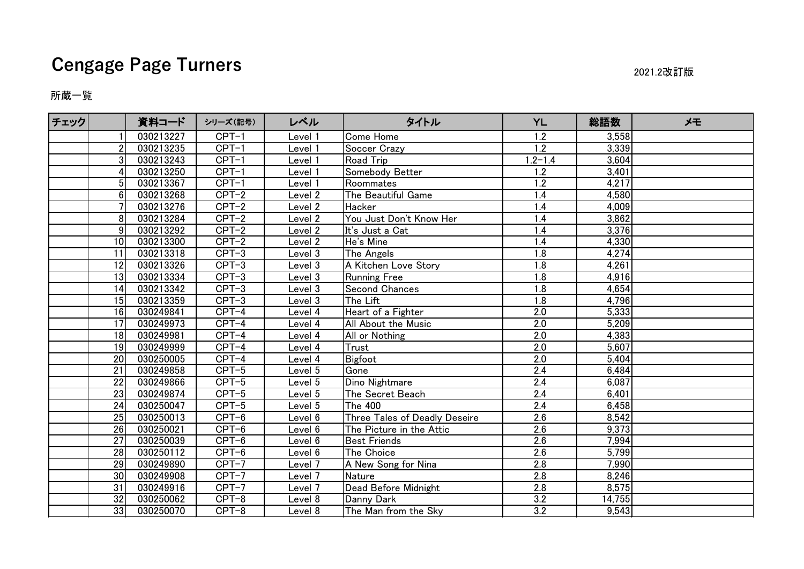## **Cengage Page Turners** 2021.2改訂版

## 所蔵一覧

| チェック |                 | 資料コード     | シリーズ(記号) | レベル     | タイトル                          | YL               | 総語数    | メモ |
|------|-----------------|-----------|----------|---------|-------------------------------|------------------|--------|----|
|      |                 | 030213227 | $CPT-1$  | Level 1 | Come Home                     | 1.2              | 3,558  |    |
|      | 2               | 030213235 | $CPT-1$  | Level 1 | Soccer Crazy                  | 1.2              | 3,339  |    |
|      | 3               | 030213243 | $CPT-1$  | Level 1 | <b>Road Trip</b>              | $1.2 - 1.4$      | 3,604  |    |
|      | 4               | 030213250 | $CPT-1$  | Level 1 | Somebody Better               | 1.2              | 3,401  |    |
|      | 5               | 030213367 | $CPT-1$  | Level 1 | Roommates                     | $\overline{1.2}$ | 4,217  |    |
|      | 6               | 030213268 | $CPT-2$  | Level 2 | The Beautiful Game            | 1.4              | 4,580  |    |
|      |                 | 030213276 | $CPT-2$  | Level 2 | Hacker                        | 1.4              | 4,009  |    |
|      | 8               | 030213284 | $CPT-2$  | Level 2 | You Just Don't Know Her       | 1.4              | 3,862  |    |
|      | 9               | 030213292 | $CPT-2$  | Level 2 | It's Just a Cat               | 1.4              | 3,376  |    |
|      | 10 <sup>1</sup> | 030213300 | $CPT-2$  | Level 2 | He's Mine                     | 1.4              | 4,330  |    |
|      | 11              | 030213318 | $CPT-3$  | Level 3 | The Angels                    | 1.8              | 4,274  |    |
|      | 12              | 030213326 | $CPT-3$  | evel 3  | A Kitchen Love Story          | 1.8              | 4,261  |    |
|      | 13              | 030213334 | $CPT-3$  | Level 3 | <b>Running Free</b>           | 1.8              | 4,916  |    |
|      | 14              | 030213342 | $CPT-3$  | Level 3 | Second Chances                | 1.8              | 4,654  |    |
|      | 15              | 030213359 | $CPT-3$  | Level 3 | The Lift                      | 1.8              | 4,796  |    |
|      | 16              | 030249841 | CPT-4    | Level 4 | Heart of a Fighter            | 2.0              | 5,333  |    |
|      | 17              | 030249973 | $CPT-4$  | Level 4 | All About the Music           | 2.0              | 5,209  |    |
|      | 18              | 030249981 | $CPT-4$  | Level 4 | All or Nothing                | 2.0              | 4,383  |    |
|      | 19              | 030249999 | $CPT-4$  | Level 4 | Trust                         | 2.0              | 5,607  |    |
|      | 20              | 030250005 | $CPT-4$  | Level 4 | Bigfoot                       | $\overline{2.0}$ | 5,404  |    |
|      | 21              | 030249858 | $CPT-5$  | Level 5 | Gone                          | 2.4              | 6,484  |    |
|      | 22              | 030249866 | $CPT-5$  | Level 5 | Dino Nightmare                | 2.4              | 6,087  |    |
|      | 23              | 030249874 | $CPT-5$  | Level 5 | The Secret Beach              | 2.4              | 6,401  |    |
|      | 24              | 030250047 | $CPT-5$  | _evel 5 | <b>The 400</b>                | 2.4              | 6,458  |    |
|      | 25              | 030250013 | $CPT-6$  | Level 6 | Three Tales of Deadly Deseire | 2.6              | 8,542  |    |
|      | 26              | 030250021 | $CPT-6$  | Level 6 | The Picture in the Attic      | 2.6              | 9,373  |    |
|      | 27              | 030250039 | $CPT-6$  | Level 6 | <b>Best Friends</b>           | 2.6              | 7,994  |    |
|      | 28              | 030250112 | $CPT-6$  | Level 6 | The Choice                    | 2.6              | 5,799  |    |
|      | 29              | 030249890 | $CPT-7$  | Level 7 | A New Song for Nina           | 2.8              | 7,990  |    |
|      | 30 <sup>1</sup> | 030249908 | $CPT-7$  | Level 7 | <b>Nature</b>                 | 2.8              | 8,246  |    |
|      | 31              | 030249916 | $CPT-7$  | Level 7 | Dead Before Midnight          | 2.8              | 8,575  |    |
|      | 32              | 030250062 | $CPT-8$  | Level 8 | Danny Dark                    | 3.2              | 14,755 |    |
|      | 33              | 030250070 | $CPT-8$  | Level 8 | The Man from the Sky          | 3.2              | 9,543  |    |